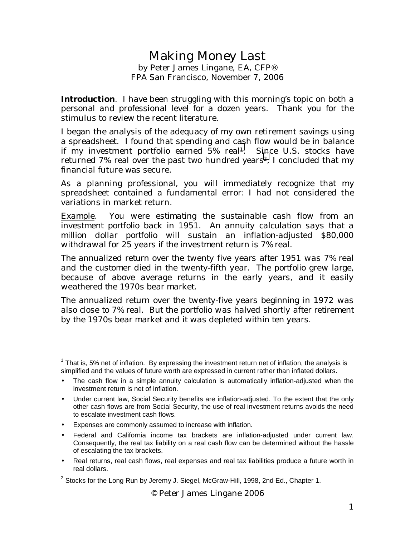# Making Money Last by Peter James Lingane, EA, CFP® FPA San Francisco, November 7, 2006

**Introduction**. I have been struggling with this morning's topic on both a personal and professional level for a dozen years. Thank you for the stimulus to review the recent literature.

I began the analysis of the adequacy of my own retirement savings using a spreadsheet. I found that spending and cash flow would be in balance if my investment portfolio earned 5% real1. Since U.S. stocks have returned 7% real over the past two hundred years<sup>2</sup>. I concluded that my financial future was secure.

As a planning professional, you will immediately recognize that my spreadsheet contained a fundamental error: I had not considered the variations in market return.

*Example. You were estimating the sustainable cash flow from an investment portfolio back in 1951. An annuity calculation says that a million dollar portfolio will sustain an inflation-adjusted \$80,000 withdrawal for 25 years if the investment return is 7% real.* 

*The annualized return over the twenty five years after 1951 was 7% real and the customer died in the twenty-fifth year. The portfolio grew large, because of above average returns in the early years, and it easily weathered the 1970s bear market.* 

*The annualized return over the twenty-five years beginning in 1972 was also close to 7% real. But the portfolio was halved shortly after retirement by the 1970s bear market and it was depleted within ten years.* 

• Expenses are commonly assumed to increase with inflation.

 $\overline{a}$ 

- Federal and California income tax brackets are inflation-adjusted under current law. Consequently, the real tax liability on a real cash flow can be determined without the hassle of escalating the tax brackets.
- Real returns, real cash flows, real expenses and real tax liabilities produce a future worth in real dollars.

© Peter James Lingane 2006

 $1$  That is, 5% net of inflation. By expressing the investment return net of inflation, the analysis is simplified and the values of future worth are expressed in current rather than inflated dollars.

<sup>•</sup> The cash flow in a simple annuity calculation is automatically inflation-adjusted when the investment return is net of inflation.

<sup>•</sup> Under current law, Social Security benefits are inflation-adjusted. To the extent that the only other cash flows are from Social Security, the use of real investment returns avoids the need to escalate investment cash flows.

<sup>&</sup>lt;sup>2</sup> Stocks for the Long Run by Jeremy J. Siegel, McGraw-Hill, 1998, 2nd Ed., Chapter 1.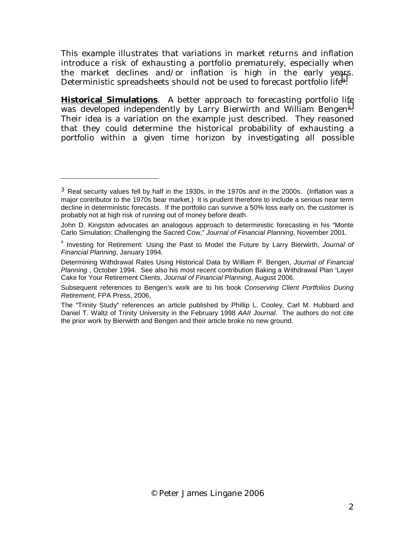This example illustrates that variations in market returns and inflation introduce a risk of exhausting a portfolio prematurely, especially when the market declines and/or inflation is high in the early years. Deterministic spreadsheets should not be used to forecast portfolio life<sup>3</sup>.

**Historical Simulations**. A better approach to forecasting portfolio life was developed independently by Larry Bierwirth and William Bengen<sup>4</sup>. Their idea is a variation on the example just described. They reasoned that they could determine the historical probability of exhausting a portfolio within a given time horizon by investigating all possible

-

 $3$  Real security values fell by half in the 1930s, in the 1970s and in the 2000s. (Inflation was a major contributor to the 1970s bear market.) It is prudent therefore to include a serious near term decline in deterministic forecasts. If the portfolio can survive a 50% loss early on, the customer is probably not at high risk of running out of money before death.

John D. Kingston advocates an analogous approach to deterministic forecasting in his "Monte Carlo Simulation: Challenging the Sacred Cow," *Journal of Financial Planning*, November 2001.

<sup>4</sup> Investing for Retirement: Using the Past to Model the Future by Larry Bierwirth, *Journal of Financial Planning*, January 1994.

Determining Withdrawal Rates Using Historical Data by William P. Bengen, *Journal of Financial Planning* , October 1994. See also his most recent contribution Baking a Withdrawal Plan 'Layer Cake for Your Retirement Clients, *Journal of Financial Planning*, August 2006.

Subsequent references to Bengen's work are to his book *Conserving Client Portfolios During Retirement*, FPA Press, 2006,

The "Trinity Study" references an article published by Phillip L. Cooley, Carl M. Hubbard and Daniel T. Waltz of Trinity University in the February 1998 *AAII Journal*. The authors do not cite the prior work by Bierwirth and Bengen and their article broke no new ground.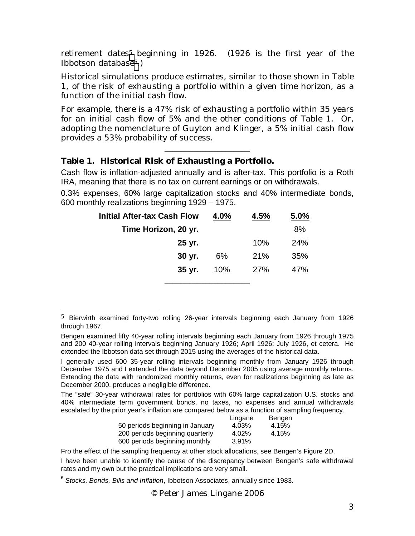retirement dates<sup>5</sup> beginning in 1926. (1926 is the first year of the Ibbotson database<sup>6</sup>.)

Historical simulations produce estimates, similar to those shown in Table 1, of the risk of exhausting a portfolio within a given time horizon, as a function of the initial cash flow.

For example, there is a 47% risk of exhausting a portfolio within 35 years for an initial cash flow of 5% and the other conditions of Table 1. Or, adopting the nomenclature of Guyton and Klinger, a 5% initial cash flow provides a 53% probability of success.

\_\_\_\_\_\_\_\_\_\_\_\_\_\_\_\_\_\_\_\_\_

# **Table 1. Historical Risk of Exhausting a Portfolio.**

-

Cash flow is inflation-adjusted annually and is after-tax. This portfolio is a Roth IRA, meaning that there is no tax on current earnings or on withdrawals.

0.3% expenses, 60% large capitalization stocks and 40% intermediate bonds, 600 monthly realizations beginning 1929 – 1975.

| <b>Initial After-tax Cash Flow</b> | 4.0% | 4.5% | 5.0%       |
|------------------------------------|------|------|------------|
| Time Horizon, 20 yr.               |      |      | 8%         |
| 25 yr.                             |      | 10%  | <b>24%</b> |
| 30 yr.                             | 6%   | 21%  | 35%        |
| 35 yr.                             | 10%  | 27%  | 47%        |
|                                    |      |      |            |

The "safe" 30-year withdrawal rates for portfolios with 60% large capitalization U.S. stocks and 40% intermediate term government bonds, no taxes, no expenses and annual withdrawals escalated by the prior year's inflation are compared below as a function of sampling frequency.

| Lingane | Bengen |
|---------|--------|
| 4.03%   | 4.15%  |
| 4.02%   | 4.15%  |
| 3.91%   |        |
|         |        |

Fro the effect of the sampling frequency at other stock allocations, see Bengen's Figure 2D.

I have been unable to identify the cause of the discrepancy between Bengen's safe withdrawal rates and my own but the practical implications are very small.

© Peter James Lingane 2006

<sup>5</sup> Bierwirth examined forty-two rolling 26-year intervals beginning each January from 1926 through 1967.

Bengen examined fifty 40-year rolling intervals beginning each January from 1926 through 1975 and 200 40-year rolling intervals beginning January 1926; April 1926; July 1926, et cetera. He extended the Ibbotson data set through 2015 using the averages of the historical data.

I generally used 600 35-year rolling intervals beginning monthly from January 1926 through December 1975 and I extended the data beyond December 2005 using average monthly returns. Extending the data with randomized monthly returns, even for realizations beginning as late as December 2000, produces a negligible difference.

<sup>6</sup> *Stocks, Bonds, Bills and Inflation*, Ibbotson Associates, annually since 1983.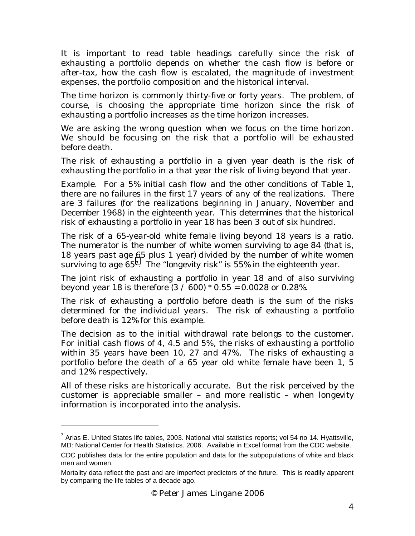It is important to read table headings carefully since the risk of exhausting a portfolio depends on whether the cash flow is before or after-tax, how the cash flow is escalated, the magnitude of investment expenses, the portfolio composition and the historical interval.

The time horizon is commonly thirty-five or forty years. The problem, of course, is choosing the appropriate time horizon since the risk of exhausting a portfolio increases as the time horizon increases.

We are asking the wrong question when we focus on the time horizon. We should be focusing on the risk that a portfolio will be exhausted before death.

The risk of exhausting a portfolio in a given year death is the risk of exhausting the portfolio in a that year the risk of living beyond that year.

*Example. For a 5% initial cash flow and the other conditions of Table 1, there are no failures in the first 17 years of any of the realizations. There are 3 failures (for the realizations beginning in January, November and December 1968) in the eighteenth year. This determines that the historical risk of exhausting a portfolio in year 18 has been 3 out of six hundred.* 

*The risk of a 65-year-old white female living beyond 18 years is a ratio. The numerator is the number of white women surviving to age 84 (that is, 18 years past age 65 plus 1 year) divided by the number of white women surviving to age 657. The "longevity risk" is 55% in the eighteenth year.* 

*The joint risk of exhausting a portfolio in year 18 and of also surviving beyond year 18 is therefore (3 / 600) \* 0.55 = 0.0028 or 0.28%.* 

*The risk of exhausting a portfolio before death is the sum of the risks determined for the individual years. The risk of exhausting a portfolio before death is 12% for this example.* 

The decision as to the initial withdrawal rate belongs to the customer. For initial cash flows of 4, 4.5 and 5%, the risks of exhausting a portfolio within 35 years have been 10, 27 and 47%. The risks of exhausting a portfolio before the death of a 65 year old white female have been 1, 5 and 12% respectively.

All of these risks are historically accurate. But the risk perceived by the customer is appreciable smaller – and more realistic – when longevity information is incorporated into the analysis.

 $^7$  Arias E. United States life tables, 2003. National vital statistics reports; vol 54 no 14. Hyattsville, MD: National Center for Health Statistics. 2006. Available in Excel format from the CDC website. CDC publishes data for the entire population and data for the subpopulations of white and black men and women.

Mortality data reflect the past and are imperfect predictors of the future. This is readily apparent by comparing the life tables of a decade ago.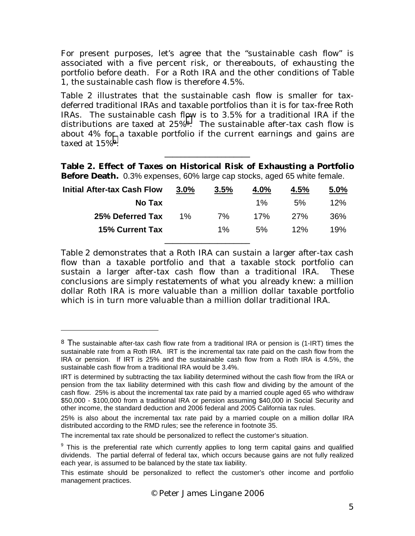For present purposes, let's agree that the "sustainable cash flow" is associated with a five percent risk, or thereabouts, of exhausting the portfolio before death. For a Roth IRA and the other conditions of Table 1, the sustainable cash flow is therefore 4.5%.

Table 2 illustrates that the sustainable cash flow is smaller for taxdeferred traditional IRAs and taxable portfolios than it is for tax-free Roth IRAs. The sustainable cash flow is to 3.5% for a traditional IRA if the distributions are taxed at 25%8. The sustainable after-tax cash flow is about 4% for a taxable portfolio if the current earnings and gains are taxed at 15%9.

**Table 2. Effect of Taxes on Historical Risk of Exhausting a Portfolio Before Death.** 0.3% expenses, 60% large cap stocks, aged 65 white female.

\_\_\_\_\_\_\_\_\_\_\_\_\_\_\_\_\_\_\_\_\_

| <b>Initial After-tax Cash Flow</b> | 3.0%  | 3.5%  | 4.0%  | 4.5% | 5.0% |
|------------------------------------|-------|-------|-------|------|------|
| No Tax                             |       |       | $1\%$ | 5%   | 12%  |
| 25% Deferred Tax                   | $1\%$ | 7%    | 17%   | 27%  | 36%  |
| <b>15% Current Tax</b>             |       | $1\%$ | 5%    | 12%  | 19%  |
|                                    |       |       |       |      |      |

Table 2 demonstrates that a Roth IRA can sustain a larger after-tax cash flow than a taxable portfolio and that a taxable stock portfolio can sustain a larger after-tax cash flow than a traditional IRA. These conclusions are simply restatements of what you already knew: a million dollar Roth IRA is more valuable than a million dollar taxable portfolio which is in turn more valuable than a million dollar traditional IRA.

-

<sup>&</sup>lt;sup>8</sup> The sustainable after-tax cash flow rate from a traditional IRA or pension is (1-IRT) times the sustainable rate from a Roth IRA. IRT is the incremental tax rate paid on the cash flow from the IRA or pension. If IRT is 25% and the sustainable cash flow from a Roth IRA is 4.5%, the sustainable cash flow from a traditional IRA would be 3.4%.

IRT is determined by subtracting the tax liability determined without the cash flow from the IRA or pension from the tax liability determined with this cash flow and dividing by the amount of the cash flow. 25% is about the incremental tax rate paid by a married couple aged 65 who withdraw \$50,000 - \$100,000 from a traditional IRA or pension assuming \$40,000 in Social Security and other income, the standard deduction and 2006 federal and 2005 California tax rules.

<sup>25%</sup> is also about the incremental tax rate paid by a married couple on a million dollar IRA distributed according to the RMD rules; see the reference in footnote 35.

The incremental tax rate should be personalized to reflect the customer's situation.

<sup>&</sup>lt;sup>9</sup> This is the preferential rate which currently applies to long term capital gains and qualified dividends. The partial deferral of federal tax, which occurs because gains are not fully realized each year, is assumed to be balanced by the state tax liability.

This estimate should be personalized to reflect the customer's other income and portfolio management practices.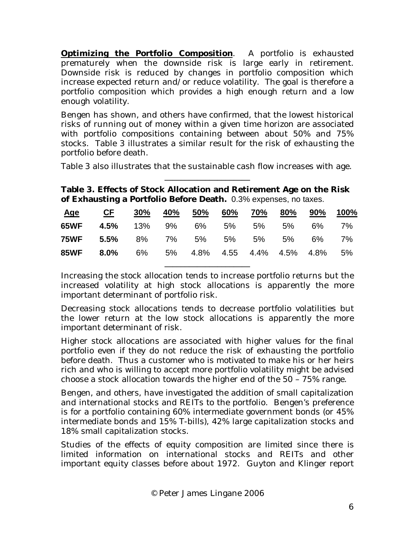**Optimizing the Portfolio Composition**. A portfolio is exhausted prematurely when the downside risk is large early in retirement. Downside risk is reduced by changes in portfolio composition which increase expected return and/or reduce volatility. The goal is therefore a portfolio composition which provides a high enough return and a low enough volatility.

Bengen has shown, and others have confirmed, that the lowest historical risks of running out of money within a given time horizon are associated with portfolio compositions containing between about 50% and 75% stocks. Table 3 illustrates a similar result for the risk of exhausting the portfolio before death.

Table 3 also illustrates that the sustainable cash flow increases with age. \_\_\_\_\_\_\_\_\_\_\_\_\_\_\_\_\_\_\_\_\_

**Table 3. Effects of Stock Allocation and Retirement Age on the Risk of Exhausting a Portfolio Before Death.** 0.3% expenses, no taxes.

| <u>Age</u> | <u>CF 30% 40% 50% 60% 70% 80% 90% 100%</u>         |  |  |  |  |
|------------|----------------------------------------------------|--|--|--|--|
|            | <b>65WF 4.5%</b> 13% 9% 6% 5% 5% 6% 7%             |  |  |  |  |
|            | <b>75WF 5.5%</b> 8% 7% 5% 5% 5% 6% 7%              |  |  |  |  |
|            | <b>85WF 8.0%</b> 6% 5% 4.8% 4.55 4.4% 4.5% 4.8% 5% |  |  |  |  |
|            |                                                    |  |  |  |  |

Increasing the stock allocation tends to increase portfolio returns but the increased volatility at high stock allocations is apparently the more important determinant of portfolio risk.

Decreasing stock allocations tends to decrease portfolio volatilities but the lower return at the low stock allocations is apparently the more important determinant of risk.

Higher stock allocations are associated with higher values for the final portfolio even if they do not reduce the risk of exhausting the portfolio before death. Thus a customer who is motivated to make his or her heirs rich and who is willing to accept more portfolio volatility might be advised choose a stock allocation towards the higher end of the 50 – 75% range.

Bengen, and others, have investigated the addition of small capitalization and international stocks and REITs to the portfolio. Bengen's preference is for a portfolio containing 60% intermediate government bonds (or 45% intermediate bonds and 15% T-bills), 42% large capitalization stocks and 18% small capitalization stocks.

Studies of the effects of equity composition are limited since there is limited information on international stocks and REITs and other important equity classes before about 1972. Guyton and Klinger report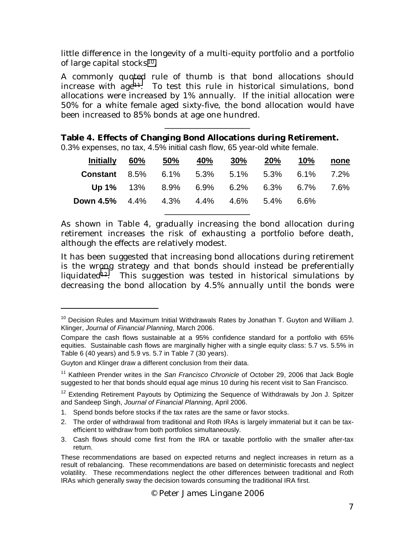little difference in the longevity of a multi-equity portfolio and a portfolio of large capital stocks<sup>10</sup>.

A commonly quoted rule of thumb is that bond allocations should increase with  $age^{11}$ . To test this rule in historical simulations, bond allocations were increased by 1% annually. If the initial allocation were 50% for a white female aged sixty-five, the bond allocation would have been increased to 85% bonds at age one hundred.

\_\_\_\_\_\_\_\_\_\_\_\_\_\_\_\_\_\_\_\_\_

**Table 4. Effects of Changing Bond Allocations during Retirement.** 0.3% expenses, no tax, 4.5% initial cash flow, 65 year-old white female.

| <u>Initially 60% 50% 40% 30% 20% 10% none</u>      |  |                                         |  |  |
|----------------------------------------------------|--|-----------------------------------------|--|--|
| <b>Constant</b> 8.5% 6.1% 5.3% 5.1% 5.3% 6.1% 7.2% |  |                                         |  |  |
|                                                    |  | Up 1% 13% 8.9% 6.9% 6.2% 6.3% 6.7% 7.6% |  |  |
| <b>Down 4.5%</b> 4.4% 4.3% 4.4% 4.6% 5.4% 6.6%     |  |                                         |  |  |
|                                                    |  |                                         |  |  |

As shown in Table 4, gradually increasing the bond allocation during retirement increases the risk of exhausting a portfolio before death, although the effects are relatively modest.

It has been suggested that increasing bond allocations during retirement is the wrong strategy and that bonds should instead be preferentially liquidated<sup>12</sup>. This suggestion was tested in historical simulations by decreasing the bond allocation by 4.5% annually until the bonds were

 $10$  Decision Rules and Maximum Initial Withdrawals Rates by Jonathan T. Guyton and William J. Klinger, *Journal of Financial Planning*, March 2006.

Compare the cash flows sustainable at a 95% confidence standard for a portfolio with 65% equities. Sustainable cash flows are marginally higher with a single equity class: 5.7 vs. 5.5% in Table 6 (40 years) and 5.9 vs. 5.7 in Table 7 (30 years).

Guyton and Klinger draw a different conclusion from their data.

<sup>&</sup>lt;sup>11</sup> Kathleen Prender writes in the *San Francisco Chronicle* of October 29, 2006 that Jack Bogle suggested to her that bonds should equal age minus 10 during his recent visit to San Francisco.

 $12$  Extending Retirement Payouts by Optimizing the Sequence of Withdrawals by Jon J. Spitzer and Sandeep Singh, *Journal of Financial Planning*, April 2006.

<sup>1.</sup> Spend bonds before stocks if the tax rates are the same or favor stocks.

<sup>2.</sup> The order of withdrawal from traditional and Roth IRAs is largely immaterial but it can be taxefficient to withdraw from both portfolios simultaneously.

<sup>3.</sup> Cash flows should come first from the IRA or taxable portfolio with the smaller after-tax return.

These recommendations are based on expected returns and neglect increases in return as a result of rebalancing. These recommendations are based on deterministic forecasts and neglect volatility. These recommendations neglect the other differences between traditional and Roth IRAs which generally sway the decision towards consuming the traditional IRA first.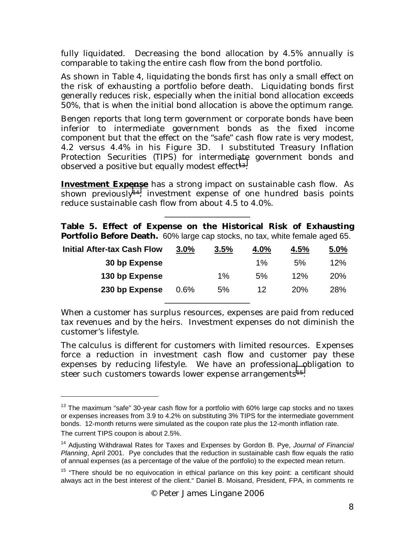fully liquidated. Decreasing the bond allocation by 4.5% annually is comparable to taking the entire cash flow from the bond portfolio.

As shown in Table 4, liquidating the bonds first has only a small effect on the risk of exhausting a portfolio before death. Liquidating bonds first generally reduces risk, especially when the initial bond allocation exceeds 50%, that is when the initial bond allocation is above the optimum range.

Bengen reports that long term government or corporate bonds have been inferior to intermediate government bonds as the fixed income component but that the effect on the "safe" cash flow rate is very modest, 4.2 versus 4.4% in his Figure 3D. I substituted Treasury Inflation Protection Securities (TIPS) for intermediate government bonds and observed a positive but equally modest effect $13$ .

**Investment Expense** has a strong impact on sustainable cash flow. As shown previously<sup>14</sup>, investment expense of one hundred basis points reduce sustainable cash flow from about 4.5 to 4.0%.

**Table 5. Effect of Expense on the Historical Risk of Exhausting Portfolio Before Death.** 60% large cap stocks, no tax, white female aged 65.

 $\overline{\phantom{a}}$  , we can consider the constraint of  $\overline{\phantom{a}}$ 

| <b>Initial After-tax Cash Flow</b> | 3.0% | 3.5%  | 4.0%  | 4.5% | 5.0% |
|------------------------------------|------|-------|-------|------|------|
| 30 bp Expense                      |      |       | $1\%$ | 5%   | 12%  |
| 130 bp Expense                     |      | $1\%$ | 5%    | 12%  | 20%  |
| 230 bp Expense                     | 0.6% | 5%    | 12    | 20%  | 28%  |
|                                    |      |       |       |      |      |

When a customer has surplus resources, expenses are paid from reduced tax revenues and by the heirs. Investment expenses do not diminish the customer's lifestyle.

The calculus is different for customers with limited resources. Expenses force a reduction in investment cash flow and customer pay these expenses by reducing lifestyle. We have an professional obligation to steer such customers towards lower expense arrangements<sup>15</sup>.

-

<sup>&</sup>lt;sup>13</sup> The maximum "safe" 30-year cash flow for a portfolio with 60% large cap stocks and no taxes or expenses increases from 3.9 to 4.2% on substituting 3% TIPS for the intermediate government bonds. 12-month returns were simulated as the coupon rate plus the 12-month inflation rate.

The current TIPS coupon is about 2.5%.

<sup>14</sup> Adjusting Withdrawal Rates for Taxes and Expenses by Gordon B. Pye, *Journal of Financial Planning*, April 2001. Pye concludes that the reduction in sustainable cash flow equals the ratio of annual expenses (as a percentage of the value of the portfolio) to the expected mean return.

<sup>&</sup>lt;sup>15</sup> "There should be no equivocation in ethical parlance on this key point: a certificant should always act in the best interest of the client." Daniel B. Moisand, President, FPA, in comments re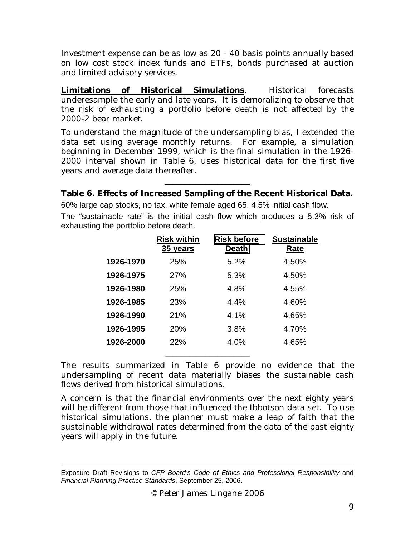Investment expense can be as low as 20 - 40 basis points annually based on low cost stock index funds and ETFs, bonds purchased at auction and limited advisory services.

**Limitations of Historical Simulations**. Historical forecasts underesample the early and late years. It is demoralizing to observe that the risk of exhausting a portfolio before death is not affected by the 2000-2 bear market.

To understand the magnitude of the undersampling bias, I extended the data set using average monthly returns. For example, a simulation beginning in December 1999, which is the final simulation in the 1926- 2000 interval shown in Table 6, uses historical data for the first five years and average data thereafter.

# \_\_\_\_\_\_\_\_\_\_\_\_\_\_\_\_\_\_\_\_\_ **Table 6. Effects of Increased Sampling of the Recent Historical Data.**

60% large cap stocks, no tax, white female aged 65, 4.5% initial cash flow. The "sustainable rate" is the initial cash flow which produces a 5.3% risk of exhausting the portfolio before death.

|           | <b>Risk within</b><br>35 years | <b>Risk before</b><br><b>Death</b> | <b>Sustainable</b><br>Rate |
|-----------|--------------------------------|------------------------------------|----------------------------|
| 1926-1970 | 25%                            | 5.2%                               | 4.50%                      |
| 1926-1975 | 27%                            | 5.3%                               | 4.50%                      |
| 1926-1980 | 25%                            | 4.8%                               | 4.55%                      |
| 1926-1985 | 23%                            | 4.4%                               | 4.60%                      |
| 1926-1990 | 21%                            | 4.1%                               | 4.65%                      |
| 1926-1995 | 20%                            | 3.8%                               | 4.70%                      |
| 1926-2000 | 22%                            | 4.0%                               | 4.65%                      |
|           |                                |                                    |                            |

The results summarized in Table 6 provide no evidence that the undersampling of recent data materially biases the sustainable cash flows derived from historical simulations.

A concern is that the financial environments over the next eighty years will be different from those that influenced the Ibbotson data set. To use historical simulations, the planner must make a leap of faith that the sustainable withdrawal rates determined from the data of the past eighty years will apply in the future.

Exposure Draft Revisions to *CFP Board's Code of Ethics and Professional Responsibility* and *Financial Planning Practice Standards*, September 25, 2006.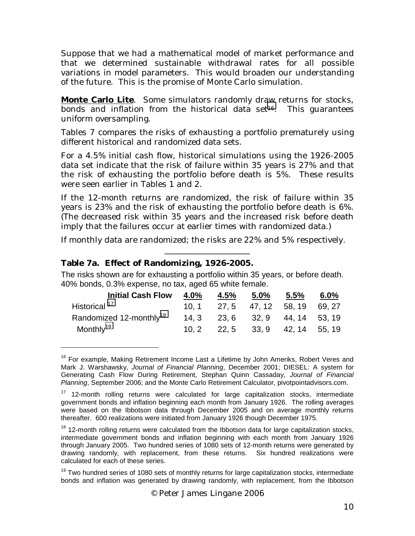Suppose that we had a mathematical model of market performance and that we determined sustainable withdrawal rates for all possible variations in model parameters. This would broaden our understanding of the future. This is the promise of Monte Carlo simulation.

**Monte Carlo Lite**. Some simulators randomly draw returns for stocks, bonds and inflation from the historical data set<sup>16</sup>. This guarantees uniform oversampling.

Tables 7 compares the risks of exhausting a portfolio prematurely using different historical and randomized data sets.

For a 4.5% initial cash flow, historical simulations using the 1926-2005 data set indicate that the risk of failure within 35 years is 27% and that the risk of exhausting the portfolio before death is 5%. These results were seen earlier in Tables 1 and 2.

If the 12-month returns are randomized, the risk of failure within 35 years is 23% and the risk of exhausting the portfolio before death is 6%. (The decreased risk within 35 years and the increased risk before death imply that the failures occur at earlier times with randomized data.)

If monthly data are randomized; the risks are 22% and 5% respectively.

\_\_\_\_\_\_\_\_\_\_\_\_\_\_\_\_\_\_\_\_\_

#### **Table 7a. Effect of Randomizing, 1926-2005.**

 $\overline{a}$ 

The risks shown are for exhausting a portfolio within 35 years, or before death. 40% bonds, 0.3% expense, no tax, aged 65 white female.

| <b>Initial Cash Flow</b>            | 4.0% | 4.5% | $5.0\%$                            | 5.5% | 6.0% |
|-------------------------------------|------|------|------------------------------------|------|------|
| Historical <sup>17</sup>            |      |      | $10, 1$ 27, 5 47, 12 58, 19 69, 27 |      |      |
| Randomized 12-monthly <sup>18</sup> |      |      | 14, 3 23, 6 32, 9 44, 14 53, 19    |      |      |
| Monthly <sup>19</sup>               |      |      | $10, 2$ 22, 5 33, 9 42, 14 55, 19  |      |      |

<sup>&</sup>lt;sup>16</sup> For example, Making Retirement Income Last a Lifetime by John Ameriks, Robert Veres and Mark J. Warshawsky, *Journal of Financial Planning*, December 2001; DIESEL: A system for Generating Cash Flow During Retirement, Stephan Quinn Cassaday, *Journal of Financial Planning*, September 2006; and the Monte Carlo Retirement Calculator, pivotpointadvisors.com.

 $17$  12-month rolling returns were calculated for large capitalization stocks, intermediate government bonds and inflation beginning each month from January 1926. The rolling averages were based on the Ibbotson data through December 2005 and on average monthly returns thereafter. 600 realizations were initiated from January 1926 though December 1975.

 $18$  12-month rolling returns were calculated from the Ibbotson data for large capitalization stocks, intermediate government bonds and inflation beginning with each month from January 1926 through January 2005. Two hundred series of 1080 sets of 12-month returns were generated by drawing randomly, with replacement, from these returns. Six hundred realizations were calculated for each of these series.

<sup>&</sup>lt;sup>19</sup> Two hundred series of 1080 sets of monthly returns for large capitalization stocks, intermediate bonds and inflation was generated by drawing randomly, with replacement, from the Ibbotson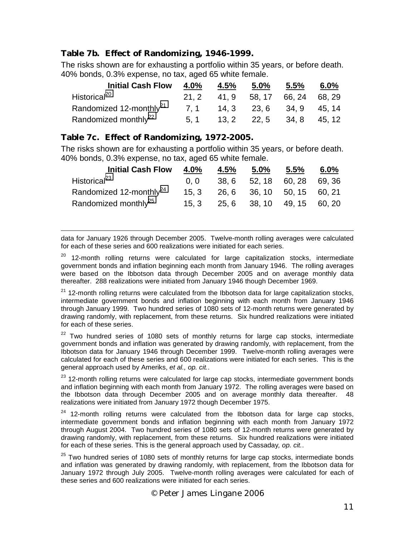# **Table 7b. Effect of Randomizing, 1946-1999.**

The risks shown are for exhausting a portfolio within 35 years, or before death. 40% bonds, 0.3% expense, no tax, aged 65 white female.

| <b>Initial Cash Flow</b>            | 4.0% | 4.5% | 5.0%                             | 5.5% | 6.0% |
|-------------------------------------|------|------|----------------------------------|------|------|
| Historical <sup>20</sup>            |      |      | 21, 2 41, 9 58, 17 66, 24 68, 29 |      |      |
| Randomized 12-monthly <sup>21</sup> |      |      | 7, 1 14, 3 23, 6 34, 9 45, 14    |      |      |
| Randomized monthly <sup>22</sup>    |      |      | 5, 1 13, 2 22, 5 34, 8 45, 12    |      |      |

#### **Table 7c. Effect of Randomizing, 1972-2005.**

The risks shown are for exhausting a portfolio within 35 years, or before death. 40% bonds, 0.3% expense, no tax, aged 65 white female.

| <b>Initial Cash Flow</b>            | 4.0% | 4.5% | $5.0\%$                    | 5.5% | 6.0% |
|-------------------------------------|------|------|----------------------------|------|------|
| Historical <sup>23</sup>            | 0. 0 |      | 38, 6 52, 18 60, 28 69, 36 |      |      |
| Randomized 12-monthly <sup>24</sup> | 15.3 |      | 26, 6 36, 10 50, 15 60, 21 |      |      |
| Randomized monthly <sup>25</sup>    | 15.3 |      | 25, 6 38, 10 49, 15 60, 20 |      |      |

 $\overline{a}$ data for January 1926 through December 2005. Twelve-month rolling averages were calculated for each of these series and 600 realizations were initiated for each series.

 $20$  12-month rolling returns were calculated for large capitalization stocks, intermediate government bonds and inflation beginning each month from January 1946. The rolling averages were based on the Ibbotson data through December 2005 and on average monthly data thereafter. 288 realizations were initiated from January 1946 though December 1969.

 $21$  12-month rolling returns were calculated from the Ibbotson data for large capitalization stocks, intermediate government bonds and inflation beginning with each month from January 1946 through January 1999. Two hundred series of 1080 sets of 12-month returns were generated by drawing randomly, with replacement, from these returns. Six hundred realizations were initiated for each of these series.

 $22$  Two hundred series of 1080 sets of monthly returns for large cap stocks, intermediate government bonds and inflation was generated by drawing randomly, with replacement, from the Ibbotson data for January 1946 through December 1999. Twelve-month rolling averages were calculated for each of these series and 600 realizations were initiated for each series. This is the general approach used by Ameriks, *et al., op. cit.*.

<sup>23</sup> 12-month rolling returns were calculated for large cap stocks, intermediate government bonds and inflation beginning with each month from January 1972. The rolling averages were based on the Ibbotson data through December 2005 and on average monthly data thereafter. 48 realizations were initiated from January 1972 though December 1975.

 $24$  12-month rolling returns were calculated from the Ibbotson data for large cap stocks, intermediate government bonds and inflation beginning with each month from January 1972 through August 2004. Two hundred series of 1080 sets of 12-month returns were generated by drawing randomly, with replacement, from these returns. Six hundred realizations were initiated for each of these series. This is the general approach used by Cassaday*, op. cit.*.

<sup>25</sup> Two hundred series of 1080 sets of monthly returns for large cap stocks, intermediate bonds and inflation was generated by drawing randomly, with replacement, from the Ibbotson data for January 1972 through July 2005. Twelve-month rolling averages were calculated for each of these series and 600 realizations were initiated for each series.

© Peter James Lingane 2006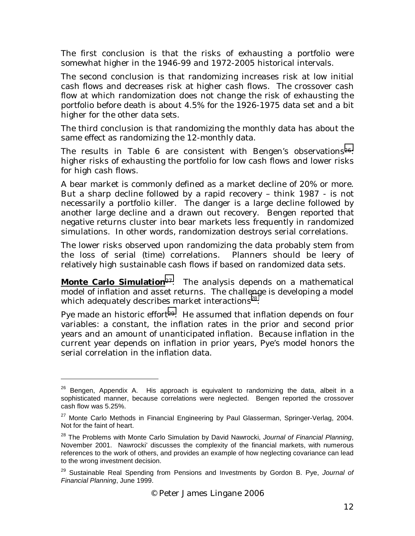The first conclusion is that the risks of exhausting a portfolio were somewhat higher in the 1946-99 and 1972-2005 historical intervals.

The second conclusion is that randomizing increases risk at low initial cash flows and decreases risk at higher cash flows. The crossover cash flow at which randomization does not change the risk of exhausting the portfolio before death is about 4.5% for the 1926-1975 data set and a bit higher for the other data sets.

The third conclusion is that randomizing the monthly data has about the same effect as randomizing the 12-monthly data.

The results in Table 6 are consistent with Bengen's observations<sup>26</sup>: higher risks of exhausting the portfolio for low cash flows and lower risks for high cash flows.

A bear market is commonly defined as a market decline of 20% or more. But a sharp decline followed by a rapid recovery – think 1987 - is not necessarily a portfolio killer. The danger is a large decline followed by another large decline and a drawn out recovery. Bengen reported that negative returns cluster into bear markets less frequently in randomized simulations. In other words, randomization destroys serial correlations.

The lower risks observed upon randomizing the data probably stem from the loss of serial (time) correlations. Planners should be leery of relatively high sustainable cash flows if based on randomized data sets.

**Monte Carlo Simulation**27. The analysis depends on a mathematical model of inflation and asset returns. The challenge is developing a model which adequately describes market interactions<sup>28</sup>.

Pye made an historic effort<sup>29</sup>. He assumed that inflation depends on four variables: a constant, the inflation rates in the prior and second prior years and an amount of unanticipated inflation. Because inflation in the current year depends on inflation in prior years, Pye's model honors the serial correlation in the inflation data.

 $26$  Bengen, Appendix A. His approach is equivalent to randomizing the data, albeit in a sophisticated manner, because correlations were neglected. Bengen reported the crossover cash flow was 5.25%.

<sup>&</sup>lt;sup>27</sup> Monte Carlo Methods in Financial Engineering by Paul Glasserman, Springer-Verlag, 2004. Not for the faint of heart.

<sup>28</sup> The Problems with Monte Carlo Simulation by David Nawrocki, *Journal of Financial Planning*, November 2001. Nawrocki' discusses the complexity of the financial markets, with numerous references to the work of others, and provides an example of how neglecting covariance can lead to the wrong investment decision.

<sup>29</sup> Sustainable Real Spending from Pensions and Investments by Gordon B. Pye, *Journal of Financial Planning*, June 1999.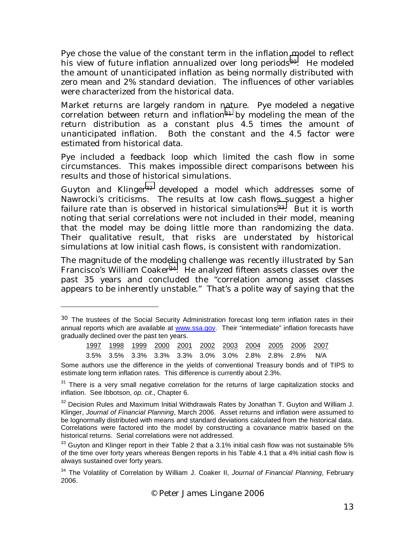Pye chose the value of the constant term in the inflation model to reflect his view of future inflation annualized over long periods<sup>30</sup>. He modeled the amount of unanticipated inflation as being normally distributed with zero mean and 2% standard deviation. The influences of other variables were characterized from the historical data.

Market returns are largely random in nature. Pye modeled a negative correlation between return and inflation<sup>31</sup> by modeling the mean of the return distribution as a constant plus 4.5 times the amount of unanticipated inflation. Both the constant and the 4.5 factor were estimated from historical data.

Pye included a feedback loop which limited the cash flow in some circumstances. This makes impossible direct comparisons between his results and those of historical simulations.

Guyton and Klinger<sup>32</sup> developed a model which addresses some of Nawrocki's criticisms. The results at low cash flows suggest a higher failure rate than is observed in historical simulations<sup>33</sup>. But it is worth noting that serial correlations were not included in their model, meaning that the model may be doing little more than randomizing the data. Their qualitative result, that risks are understated by historical simulations at low initial cash flows, is consistent with randomization.

The magnitude of the modeling challenge was recently illustrated by San Francisco's William Coaker<sup>34</sup>. He analyzed fifteen assets classes over the past 35 years and concluded the "correlation among asset classes appears to be inherently unstable." That's a polite way of saying that the

-

|  |  | 1997  1998  1999  2000  2001  2002  2003  2004  2005  2006  2007 |  |  |  |
|--|--|------------------------------------------------------------------|--|--|--|
|  |  |                                                                  |  |  |  |

3.5% 3.5% 3.3% 3.3% 3.3% 3.0% 3.0% 2.8% 2.8% 2.8% N/A

 $30$  The trustees of the Social Security Administration forecast long term inflation rates in their annual reports which are available at www.ssa.gov. Their "intermediate" inflation forecasts have gradually declined over the past ten years.

Some authors use the difference in the yields of conventional Treasury bonds and of TIPS to estimate long term inflation rates. This difference is currently about 2.3%.

<sup>&</sup>lt;sup>31</sup> There is a very small negative correlation for the returns of large capitalization stocks and inflation. See Ibbotson, *op. cit*., Chapter 6.

 $32$  Decision Rules and Maximum Initial Withdrawals Rates by Jonathan T. Guyton and William J. Klinger, *Journal of Financial Planning*, March 2006. Asset returns and inflation were assumed to be lognormally distributed with means and standard deviations calculated from the historical data. Correlations were factored into the model by constructing a covariance matrix based on the historical returns. Serial correlations were not addressed.

 $33$  Guvton and Klinger report in their Table 2 that a 3.1% initial cash flow was not sustainable 5% of the time over forty years whereas Bengen reports in his Table 4.1 that a 4% initial cash flow is always sustained over forty years.

<sup>34</sup> The Volatility of Correlation by William J. Coaker II, *Journal of Financial Planning*, February 2006.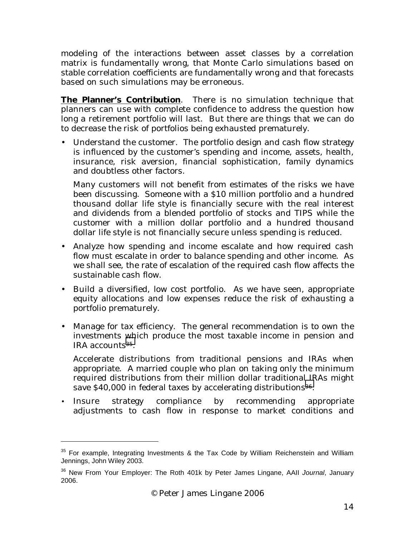modeling of the interactions between asset classes by a correlation matrix is fundamentally wrong, that Monte Carlo simulations based on stable correlation coefficients are fundamentally wrong and that forecasts based on such simulations may be erroneous.

**The Planner's Contribution**. There is no simulation technique that planners can use with complete confidence to address the question how long a retirement portfolio will last. But there are things that we can do to decrease the risk of portfolios being exhausted prematurely.

• Understand the customer. The portfolio design and cash flow strategy is influenced by the customer's spending and income, assets, health, insurance, risk aversion, financial sophistication, family dynamics and doubtless other factors.

Many customers will not benefit from estimates of the risks we have been discussing. Someone with a \$10 million portfolio and a hundred thousand dollar life style is financially secure with the real interest and dividends from a blended portfolio of stocks and TIPS while the customer with a million dollar portfolio and a hundred thousand dollar life style is not financially secure unless spending is reduced.

- Analyze how spending and income escalate and how required cash flow must escalate in order to balance spending and other income. As we shall see, the rate of escalation of the required cash flow affects the sustainable cash flow.
- Build a diversified, low cost portfolio. As we have seen, appropriate equity allocations and low expenses reduce the risk of exhausting a portfolio prematurely.
- Manage for tax efficiency. The general recommendation is to own the investments which produce the most taxable income in pension and IRA accounts35.

Accelerate distributions from traditional pensions and IRAs when appropriate. A married couple who plan on taking only the minimum required distributions from their million dollar traditional IRAs might save \$40,000 in federal taxes by accelerating distributions<sup>36</sup>.

• Insure strategy compliance by recommending appropriate adjustments to cash flow in response to market conditions and

 $35$  For example, Integrating Investments & the Tax Code by William Reichenstein and William Jennings, John Wiley 2003.

<sup>36</sup> New From Your Employer: The Roth 401k by Peter James Lingane, AAII *Journal*, January 2006.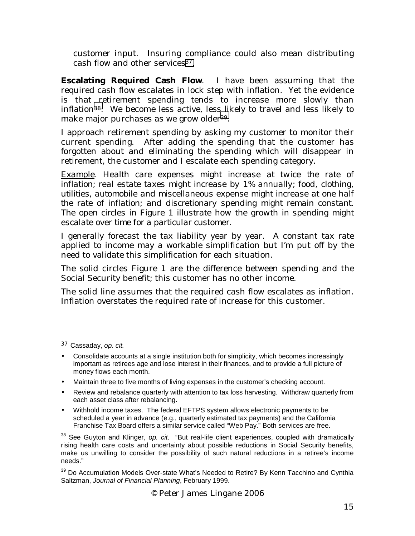customer input. Insuring compliance could also mean distributing cash flow and other services<sup>37</sup>.

**Escalating Required Cash Flow**. I have been assuming that the required cash flow escalates in lock step with inflation. Yet the evidence is that retirement spending tends to increase more slowly than inflation38. We become less active, less likely to travel and less likely to make major purchases as we grow older<sup>39</sup>.

I approach retirement spending by asking my customer to monitor their current spending. After adding the spending that the customer has forgotten about and eliminating the spending which will disappear in retirement, the customer and I escalate each spending category.

*Example. Health care expenses might increase at twice the rate of inflation; real estate taxes might increase by 1% annually; food, clothing, utilities, automobile and miscellaneous expense might increase at one half the rate of inflation; and discretionary spending might remain constant. The open circles in Figure 1 illustrate how the growth in spending might escalate over time for a particular customer.* 

I generally forecast the tax liability year by year. A constant tax rate applied to income may a workable simplification but I'm put off by the need to validate this simplification for each situation.

The solid circles Figure 1 are the difference between spending and the Social Security benefit; this customer has no other income.

The solid line assumes that the required cash flow escalates as inflation. Inflation overstates the required rate of increase for this customer.

 $\overline{a}$ 

- Maintain three to five months of living expenses in the customer's checking account.
- Review and rebalance quarterly with attention to tax loss harvesting. Withdraw quarterly from each asset class after rebalancing.
- Withhold income taxes. The federal EFTPS system allows electronic payments to be scheduled a year in advance (e.g., quarterly estimated tax payments) and the California Franchise Tax Board offers a similar service called "Web Pay." Both services are free.

<sup>39</sup> Do Accumulation Models Over-state What's Needed to Retire? By Kenn Tacchino and Cynthia Saltzman, *Journal of Financial Planning*, February 1999.

© Peter James Lingane 2006

<sup>37</sup> Cassaday, *op. cit.*

<sup>•</sup> Consolidate accounts at a single institution both for simplicity, which becomes increasingly important as retirees age and lose interest in their finances, and to provide a full picture of money flows each month.

<sup>38</sup> See Guyton and Klinger, *op. cit*. "But real-life client experiences, coupled with dramatically rising health care costs and uncertainty about possible reductions in Social Security benefits, make us unwilling to consider the possibility of such natural reductions in a retiree's income needs."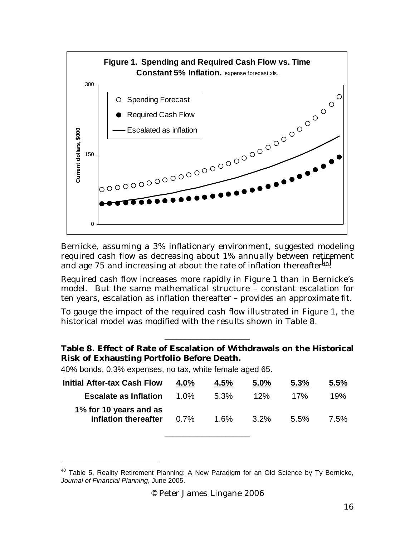

Bernicke, assuming a 3% inflationary environment, suggested modeling required cash flow as decreasing about 1% annually between retirement and age 75 and increasing at about the rate of inflation thereafter<sup>40</sup>.

Required cash flow increases more rapidly in Figure 1 than in Bernicke's model. But the same mathematical structure – constant escalation for ten years, escalation as inflation thereafter – provides an approximate fit.

To gauge the impact of the required cash flow illustrated in Figure 1, the historical model was modified with the results shown in Table 8.

#### **Table 8. Effect of Rate of Escalation of Withdrawals on the Historical Risk of Exhausting Portfolio Before Death.**

\_\_\_\_\_\_\_\_\_\_\_\_\_\_\_\_\_\_\_\_\_

40% bonds, 0.3% expenses, no tax, white female aged 65.

-

| <b>Initial After-tax Cash Flow</b>             | 4.0%    | 4.5%    | 5.0%    | 5.3%    | 5.5% |
|------------------------------------------------|---------|---------|---------|---------|------|
| <b>Escalate as Inflation</b>                   | 1.0%    | $5.3\%$ | 12%     | 17%     | 19%  |
| 1% for 10 years and as<br>inflation thereafter | $0.7\%$ | 1.6%    | $3.2\%$ | $5.5\%$ | 7.5% |

\_\_\_\_\_\_\_\_\_\_\_\_\_\_\_\_\_\_\_\_\_

 $40$  Table 5, Reality Retirement Planning: A New Paradigm for an Old Science by Ty Bernicke, *Journal of Financial Planning*, June 2005.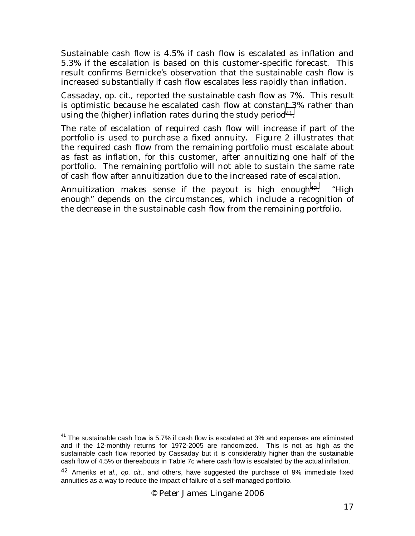Sustainable cash flow is 4.5% if cash flow is escalated as inflation and 5.3% if the escalation is based on this customer-specific forecast. This result confirms Bernicke's observation that the sustainable cash flow is increased substantially if cash flow escalates less rapidly than inflation.

Cassaday, *op. cit.*, reported the sustainable cash flow as 7%. This result is optimistic because he escalated cash flow at constant 3% rather than using the (higher) inflation rates during the study period<sup>41</sup>.

The rate of escalation of required cash flow will increase if part of the portfolio is used to purchase a fixed annuity. Figure 2 illustrates that the required cash flow from the remaining portfolio must escalate about as fast as inflation, for this customer, after annuitizing one half of the portfolio. The remaining portfolio will not able to sustain the same rate of cash flow after annuitization due to the increased rate of escalation.

Annuitization makes sense if the payout is high enough<sup>42</sup>. "High enough" depends on the circumstances, which include a recognition of the decrease in the sustainable cash flow from the remaining portfolio.

 $\overline{a}$  $41$  The sustainable cash flow is 5.7% if cash flow is escalated at 3% and expenses are eliminated and if the 12-monthly returns for 1972-2005 are randomized. This is not as high as the sustainable cash flow reported by Cassaday but it is considerably higher than the sustainable cash flow of 4.5% or thereabouts in Table 7c where cash flow is escalated by the actual inflation.

<sup>42</sup> Ameriks *et al*., *op. cit*., and others, have suggested the purchase of 9% immediate fixed annuities as a way to reduce the impact of failure of a self-managed portfolio.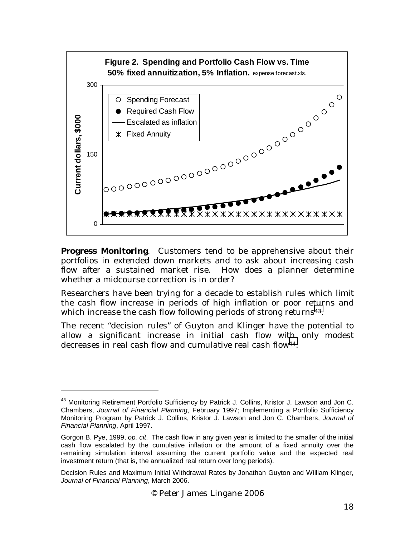

**Progress Monitoring**. Customers tend to be apprehensive about their portfolios in extended down markets and to ask about increasing cash flow after a sustained market rise. How does a planner determine whether a midcourse correction is in order?

Researchers have been trying for a decade to establish rules which limit the cash flow increase in periods of high inflation or poor returns and which increase the cash flow following periods of strong returns<sup>43</sup>.

The recent "decision rules" of Guyton and Klinger have the potential to allow a significant increase in initial cash flow with only modest decreases in real cash flow and cumulative real cash flow<sup>44</sup>.

<sup>&</sup>lt;sup>43</sup> Monitoring Retirement Portfolio Sufficiency by Patrick J. Collins, Kristor J. Lawson and Jon C. Chambers, *Journal of Financial Planning*, February 1997; Implementing a Portfolio Sufficiency Monitoring Program by Patrick J. Collins, Kristor J. Lawson and Jon C. Chambers, *Journal of Financial Planning*, April 1997.

Gorgon B. Pye, 1999, *op. cit*. The cash flow in any given year is limited to the smaller of the initial cash flow escalated by the cumulative inflation or the amount of a fixed annuity over the remaining simulation interval assuming the current portfolio value and the expected real investment return (that is, the annualized real return over long periods).

Decision Rules and Maximum Initial Withdrawal Rates by Jonathan Guyton and William Klinger, *Journal of Financial Planning*, March 2006.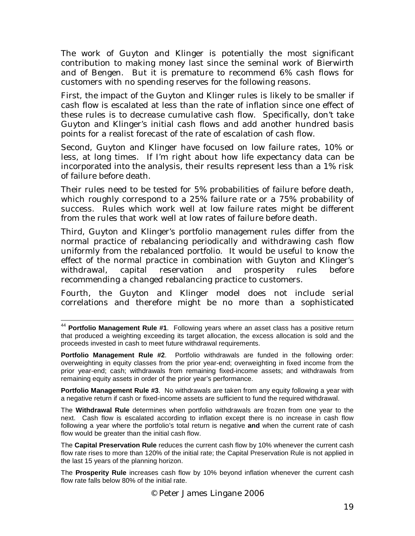The work of Guyton and Klinger is potentially the most significant contribution to making money last since the seminal work of Bierwirth and of Bengen. But it is premature to recommend 6% cash flows for customers with no spending reserves for the following reasons.

First, the impact of the Guyton and Klinger rules is likely to be smaller if cash flow is escalated at less than the rate of inflation since one effect of these rules is to decrease cumulative cash flow. Specifically, don't take Guyton and Klinger's initial cash flows and add another hundred basis points for a realist forecast of the rate of escalation of cash flow.

Second, Guyton and Klinger have focused on low failure rates, 10% or less, at long times. If I'm right about how life expectancy data can be incorporated into the analysis, their results represent less than a 1% risk of failure before death.

Their rules need to be tested for 5% probabilities of failure before death, which roughly correspond to a 25% failure rate or a 75% probability of success. Rules which work well at low failure rates might be different from the rules that work well at low rates of failure before death.

Third, Guyton and Klinger's portfolio management rules differ from the normal practice of rebalancing periodically and withdrawing cash flow uniformly from the rebalanced portfolio. It would be useful to know the effect of the normal practice in combination with Guyton and Klinger's withdrawal, capital reservation and prosperity rules before recommending a changed rebalancing practice to customers.

Fourth, the Guyton and Klinger model does not include serial correlations and therefore might be no more than a sophisticated

-

**Portfolio Management Rule #3**. No withdrawals are taken from any equity following a year with a negative return if cash or fixed-income assets are sufficient to fund the required withdrawal.

The **Withdrawal Rule** determines when portfolio withdrawals are frozen from one year to the next. Cash flow is escalated according to inflation except there is no increase in cash flow following a year where the portfolio's total return is negative **and** when the current rate of cash flow would be greater than the initial cash flow.

The **Capital Preservation Rule** reduces the current cash flow by 10% whenever the current cash flow rate rises to more than 120% of the initial rate; the Capital Preservation Rule is not applied in the last 15 years of the planning horizon.

<sup>44</sup> **Portfolio Management Rule #1**. Following years where an asset class has a positive return that produced a weighting exceeding its target allocation, the excess allocation is sold and the proceeds invested in cash to meet future withdrawal requirements.

**Portfolio Management Rule #2**. Portfolio withdrawals are funded in the following order: overweighting in equity classes from the prior year-end; overweighting in fixed income from the prior year-end; cash; withdrawals from remaining fixed-income assets; and withdrawals from remaining equity assets in order of the prior year's performance.

The **Prosperity Rule** increases cash flow by 10% beyond inflation whenever the current cash flow rate falls below 80% of the initial rate.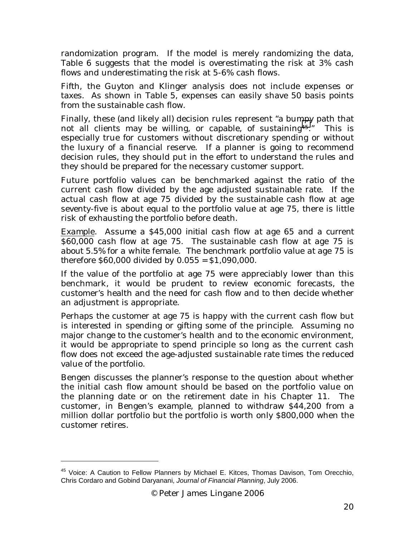randomization program. If the model is merely randomizing the data, Table 6 suggests that the model is overestimating the risk at 3% cash flows and underestimating the risk at 5-6% cash flows.

Fifth, the Guyton and Klinger analysis does not include expenses or taxes. As shown in Table 5, expenses can easily shave 50 basis points from the sustainable cash flow.

Finally, these (and likely all) decision rules represent "a bumpy path that not all clients may be willing, or capable, of sustaining45." This is especially true for customers without discretionary spending or without the luxury of a financial reserve. If a planner is going to recommend decision rules, they should put in the effort to understand the rules and they should be prepared for the necessary customer support.

Future portfolio values can be benchmarked against the ratio of the current cash flow divided by the age adjusted sustainable rate. If the actual cash flow at age 75 divided by the sustainable cash flow at age seventy-five is about equal to the portfolio value at age 75, there is little risk of exhausting the portfolio before death.

*Example*. *Assume a \$45,000 initial cash flow at age 65 and a current \$60,000 cash flow at age 75. The sustainable cash flow at age 75 is about 5.5% for a white female. The benchmark portfolio value at age 75 is therefore \$60,000 divided by 0.055 = \$1,090,000.* 

If the value of the portfolio at age 75 were appreciably lower than this benchmark, it would be prudent to review economic forecasts, the customer's health and the need for cash flow and to then decide whether an adjustment is appropriate.

Perhaps the customer at age 75 is happy with the current cash flow but is interested in spending or gifting some of the principle. Assuming no major change to the customer's health and to the economic environment, it would be appropriate to spend principle so long as the current cash flow does not exceed the age-adjusted sustainable rate times the reduced value of the portfolio.

Bengen discusses the planner's response to the question about whether the initial cash flow amount should be based on the portfolio value on the planning date or on the retirement date in his Chapter 11. The customer, in Bengen's example, planned to withdraw \$44,200 from a million dollar portfolio but the portfolio is worth only \$800,000 when the customer retires.

<sup>&</sup>lt;sup>45</sup> Voice: A Caution to Fellow Planners by Michael E. Kitces, Thomas Davison, Tom Orecchio, Chris Cordaro and Gobind Daryanani, *Journal of Financial Planning*, July 2006.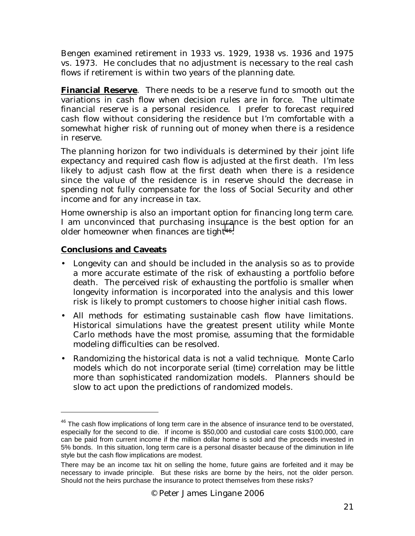Bengen examined retirement in 1933 vs. 1929, 1938 vs. 1936 and 1975 vs. 1973. He concludes that no adjustment is necessary to the real cash flows if retirement is within two years of the planning date.

**Financial Reserve**. There needs to be a reserve fund to smooth out the variations in cash flow when decision rules are in force. The ultimate financial reserve is a personal residence. I prefer to forecast required cash flow without considering the residence but I'm comfortable with a somewhat higher risk of running out of money when there is a residence in reserve.

The planning horizon for two individuals is determined by their joint life expectancy and required cash flow is adjusted at the first death. I'm less likely to adjust cash flow at the first death when there is a residence since the value of the residence is in reserve should the decrease in spending not fully compensate for the loss of Social Security and other income and for any increase in tax.

Home ownership is also an important option for financing long term care. I am unconvinced that purchasing insurance is the best option for an older homeowner when finances are tight<sup>46</sup>.

# **Conclusions and Caveats**

- Longevity can and should be included in the analysis so as to provide a more accurate estimate of the risk of exhausting a portfolio before death. The perceived risk of exhausting the portfolio is smaller when longevity information is incorporated into the analysis and this lower risk is likely to prompt customers to choose higher initial cash flows.
- All methods for estimating sustainable cash flow have limitations. Historical simulations have the greatest present utility while Monte Carlo methods have the most promise, assuming that the formidable modeling difficulties can be resolved.
- Randomizing the historical data is not a valid technique. Monte Carlo models which do not incorporate serial (time) correlation may be little more than sophisticated randomization models. Planners should be slow to act upon the predictions of randomized models.

<sup>&</sup>lt;sup>46</sup> The cash flow implications of long term care in the absence of insurance tend to be overstated, especially for the second to die. If income is \$50,000 and custodial care costs \$100,000, care can be paid from current income if the million dollar home is sold and the proceeds invested in 5% bonds. In this situation, long term care is a personal disaster because of the diminution in life style but the cash flow implications are modest.

There may be an income tax hit on selling the home, future gains are forfeited and it may be necessary to invade principle. But these risks are borne by the heirs, not the older person. Should not the heirs purchase the insurance to protect themselves from these risks?